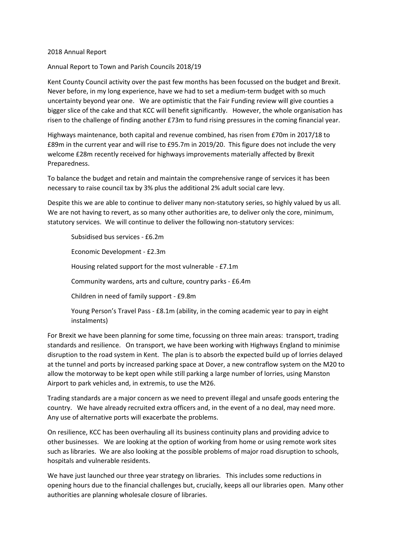## 2018 Annual Report

Annual Report to Town and Parish Councils 2018/19

Kent County Council activity over the past few months has been focussed on the budget and Brexit. Never before, in my long experience, have we had to set a medium-term budget with so much uncertainty beyond year one. We are optimistic that the Fair Funding review will give counties a bigger slice of the cake and that KCC will benefit significantly. However, the whole organisation has risen to the challenge of finding another £73m to fund rising pressures in the coming financial year.

Highways maintenance, both capital and revenue combined, has risen from £70m in 2017/18 to £89m in the current year and will rise to £95.7m in 2019/20. This figure does not include the very welcome £28m recently received for highways improvements materially affected by Brexit Preparedness.

To balance the budget and retain and maintain the comprehensive range of services it has been necessary to raise council tax by 3% plus the additional 2% adult social care levy.

Despite this we are able to continue to deliver many non-statutory series, so highly valued by us all. We are not having to revert, as so many other authorities are, to deliver only the core, minimum, statutory services. We will continue to deliver the following non-statutory services:

Subsidised bus services - £6.2m

Economic Development - £2.3m

Housing related support for the most vulnerable - £7.1m

Community wardens, arts and culture, country parks - £6.4m

Children in need of family support - £9.8m

Young Person's Travel Pass - £8.1m (ability, in the coming academic year to pay in eight instalments)

For Brexit we have been planning for some time, focussing on three main areas: transport, trading standards and resilience. On transport, we have been working with Highways England to minimise disruption to the road system in Kent. The plan is to absorb the expected build up of lorries delayed at the tunnel and ports by increased parking space at Dover, a new contraflow system on the M20 to allow the motorway to be kept open while still parking a large number of lorries, using Manston Airport to park vehicles and, in extremis, to use the M26.

Trading standards are a major concern as we need to prevent illegal and unsafe goods entering the country. We have already recruited extra officers and, in the event of a no deal, may need more. Any use of alternative ports will exacerbate the problems.

On resilience, KCC has been overhauling all its business continuity plans and providing advice to other businesses. We are looking at the option of working from home or using remote work sites such as libraries. We are also looking at the possible problems of major road disruption to schools, hospitals and vulnerable residents.

We have just launched our three year strategy on libraries. This includes some reductions in opening hours due to the financial challenges but, crucially, keeps all our libraries open. Many other authorities are planning wholesale closure of libraries.